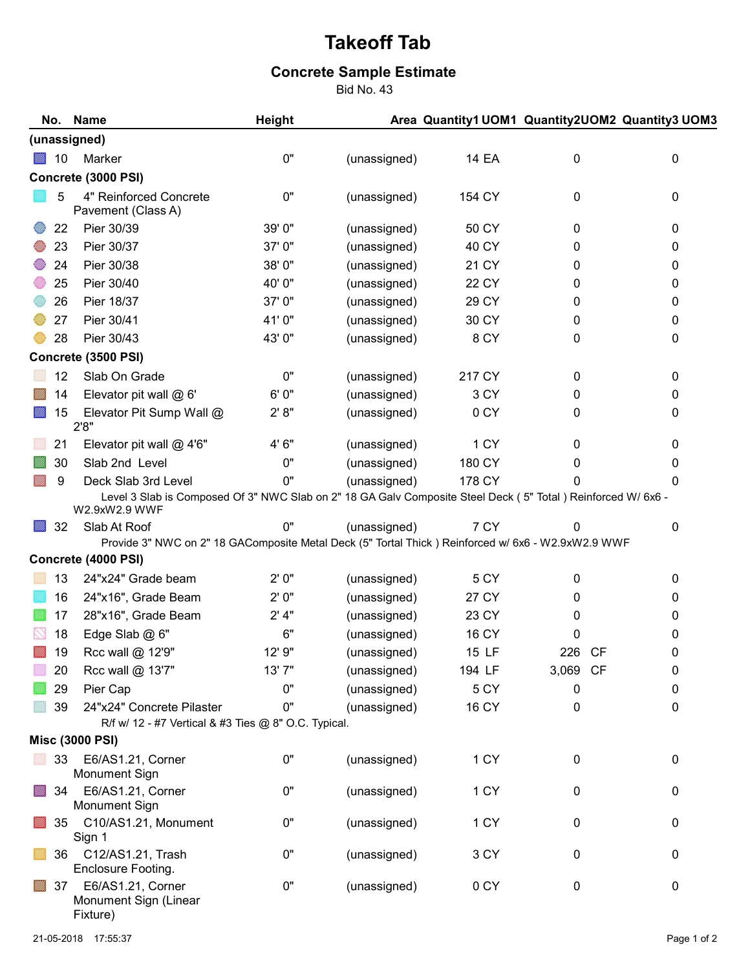## Takeoff Tab

## Concrete Sample Estimate

Bid No. 43

|                     | No. | <b>Name</b>                                                                                                   | <b>Height</b> |              |        |                  | Area Quantity1 UOM1 Quantity2UOM2 Quantity3 UOM3 |  |  |  |  |  |
|---------------------|-----|---------------------------------------------------------------------------------------------------------------|---------------|--------------|--------|------------------|--------------------------------------------------|--|--|--|--|--|
| (unassigned)        |     |                                                                                                               |               |              |        |                  |                                                  |  |  |  |  |  |
|                     | 10  | Marker                                                                                                        | $0"$          | (unassigned) | 14 EA  | 0                | 0                                                |  |  |  |  |  |
| Concrete (3000 PSI) |     |                                                                                                               |               |              |        |                  |                                                  |  |  |  |  |  |
|                     | 5   | 4" Reinforced Concrete<br>Pavement (Class A)                                                                  | 0"            | (unassigned) | 154 CY | 0                | 0                                                |  |  |  |  |  |
|                     | 22  | Pier 30/39                                                                                                    | 39' 0"        | (unassigned) | 50 CY  | 0                | 0                                                |  |  |  |  |  |
|                     | 23  | Pier 30/37                                                                                                    | 37' 0"        | (unassigned) | 40 CY  | 0                | 0                                                |  |  |  |  |  |
|                     | 24  | Pier 30/38                                                                                                    | 38' 0"        | (unassigned) | 21 CY  | 0                | 0                                                |  |  |  |  |  |
|                     | 25  | Pier 30/40                                                                                                    | 40'0"         | (unassigned) | 22 CY  | 0                | 0                                                |  |  |  |  |  |
|                     | 26  | Pier 18/37                                                                                                    | 37'0"         | (unassigned) | 29 CY  | 0                | 0                                                |  |  |  |  |  |
|                     | 27  | Pier 30/41                                                                                                    | 41'0"         | (unassigned) | 30 CY  | 0                | $\pmb{0}$                                        |  |  |  |  |  |
|                     | 28  | Pier 30/43                                                                                                    | 43'0"         | (unassigned) | 8 CY   | 0                | 0                                                |  |  |  |  |  |
| Concrete (3500 PSI) |     |                                                                                                               |               |              |        |                  |                                                  |  |  |  |  |  |
|                     | 12  | Slab On Grade                                                                                                 | 0"            | (unassigned) | 217 CY | 0                | 0                                                |  |  |  |  |  |
|                     | 14  | Elevator pit wall @ 6'                                                                                        | 6'0''         | (unassigned) | 3 CY   | 0                | $\mathbf 0$                                      |  |  |  |  |  |
|                     | 15  | Elevator Pit Sump Wall @<br>2'8''                                                                             | 2' 8''        | (unassigned) | 0 CY   | 0                | $\mathbf 0$                                      |  |  |  |  |  |
|                     | 21  | Elevator pit wall $@$ 4'6"                                                                                    | 4' 6"         | (unassigned) | 1 CY   | 0                | $\pmb{0}$                                        |  |  |  |  |  |
|                     | 30  | Slab 2nd Level                                                                                                | 0"            | (unassigned) | 180 CY | 0                | 0                                                |  |  |  |  |  |
|                     | 9   | Deck Slab 3rd Level                                                                                           | 0"            | (unassigned) | 178 CY | $\Omega$         | 0                                                |  |  |  |  |  |
|                     |     | Level 3 Slab is Composed Of 3" NWC Slab on 2" 18 GA Galv Composite Steel Deck (5" Total ) Reinforced W/ 6x6 - |               |              |        |                  |                                                  |  |  |  |  |  |
|                     | 32  | W2.9xW2.9 WWF<br>Slab At Roof                                                                                 | 0"            | (unassigned) | 7 CY   | 0                | 0                                                |  |  |  |  |  |
|                     |     | Provide 3" NWC on 2" 18 GAComposite Metal Deck (5" Tortal Thick ) Reinforced w/ 6x6 - W2.9xW2.9 WWF           |               |              |        |                  |                                                  |  |  |  |  |  |
|                     |     | Concrete (4000 PSI)                                                                                           |               |              |        |                  |                                                  |  |  |  |  |  |
|                     | 13  | 24"x24" Grade beam                                                                                            | 2'0''         | (unassigned) | 5 CY   | 0                | $\mathbf 0$                                      |  |  |  |  |  |
|                     | 16  | 24"x16", Grade Beam                                                                                           | 2'0"          | (unassigned) | 27 CY  | 0                | 0                                                |  |  |  |  |  |
|                     | 17  | 28"x16", Grade Beam                                                                                           | $2'$ 4"       | (unassigned) | 23 CY  | 0                | 0                                                |  |  |  |  |  |
|                     | 18  | Edge Slab @ 6"                                                                                                | 6"            | (unassigned) | 16 CY  | 0                | 0                                                |  |  |  |  |  |
|                     | 19  | Rcc wall @ 12'9"                                                                                              | 12' 9"        | (unassigned) | 15 LF  | <b>CF</b><br>226 | 0                                                |  |  |  |  |  |
|                     | 20  | Rcc wall @ 13'7"                                                                                              | 13'7"         | (unassigned) | 194 LF | 3,069 CF         | 0                                                |  |  |  |  |  |
|                     | 29  | Pier Cap                                                                                                      | 0"            | (unassigned) | 5 CY   | 0                | 0                                                |  |  |  |  |  |
|                     | 39  | 24"x24" Concrete Pilaster                                                                                     | 0"            | (unassigned) | 16 CY  | 0                | $\mathbf 0$                                      |  |  |  |  |  |
|                     |     | R/f w/ 12 - #7 Vertical & #3 Ties @ 8" O.C. Typical.                                                          |               |              |        |                  |                                                  |  |  |  |  |  |
|                     |     | <b>Misc (3000 PSI)</b>                                                                                        |               |              |        |                  |                                                  |  |  |  |  |  |
|                     |     | 33 E6/AS1.21, Corner<br>Monument Sign                                                                         | 0"            | (unassigned) | 1 CY   | 0                | $\pmb{0}$                                        |  |  |  |  |  |
|                     | 34  | E6/AS1.21, Corner<br><b>Monument Sign</b>                                                                     | 0"            | (unassigned) | 1 CY   | 0                | $\mathbf 0$                                      |  |  |  |  |  |
|                     | 35  | C10/AS1.21, Monument<br>Sign 1                                                                                | 0"            | (unassigned) | 1 CY   | 0                | 0                                                |  |  |  |  |  |
|                     |     | 36 C12/AS1.21, Trash<br>Enclosure Footing.                                                                    | 0"            | (unassigned) | 3 CY   | 0                | 0                                                |  |  |  |  |  |
|                     | 37  | E6/AS1.21, Corner<br>Monument Sign (Linear<br>Fixture)                                                        | 0"            | (unassigned) | 0 CY   | 0                | $\pmb{0}$                                        |  |  |  |  |  |